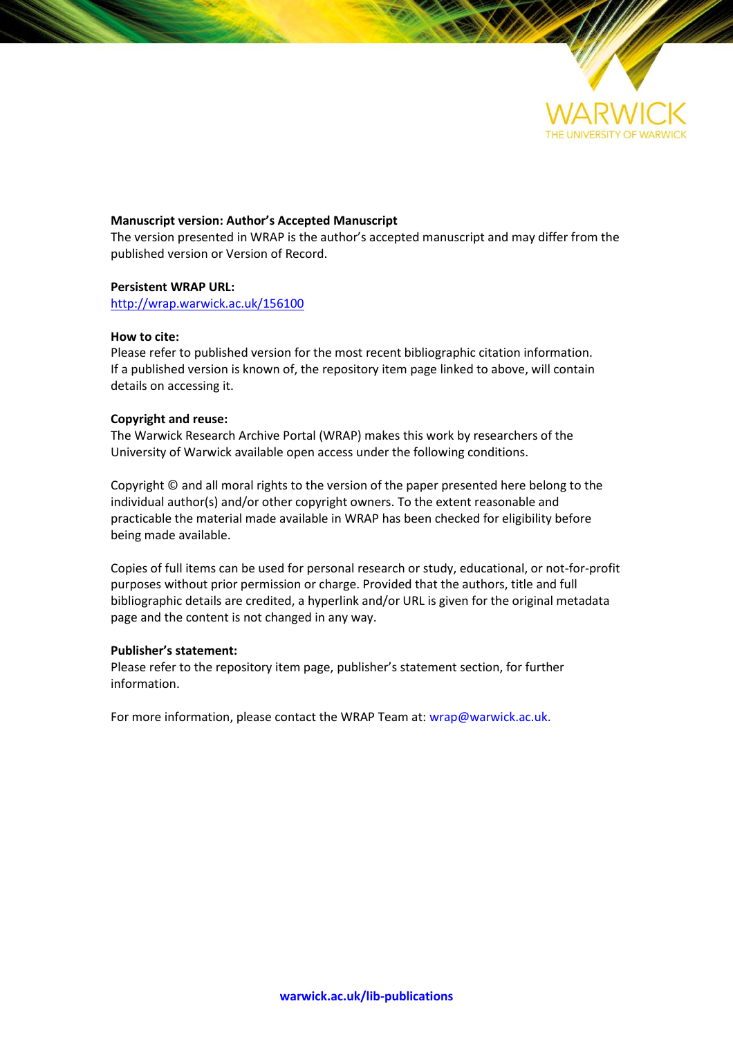

#### **Manuscript version: Author's Accepted Manuscript**

The version presented in WRAP is the author's accepted manuscript and may differ from the published version or Version of Record.

#### **Persistent WRAP URL:**

<http://wrap.warwick.ac.uk/156100>

#### **How to cite:**

Please refer to published version for the most recent bibliographic citation information. If a published version is known of, the repository item page linked to above, will contain details on accessing it.

#### **Copyright and reuse:**

The Warwick Research Archive Portal (WRAP) makes this work by researchers of the University of Warwick available open access under the following conditions.

Copyright © and all moral rights to the version of the paper presented here belong to the individual author(s) and/or other copyright owners. To the extent reasonable and practicable the material made available in WRAP has been checked for eligibility before being made available.

Copies of full items can be used for personal research or study, educational, or not-for-profit purposes without prior permission or charge. Provided that the authors, title and full bibliographic details are credited, a hyperlink and/or URL is given for the original metadata page and the content is not changed in any way.

#### **Publisher's statement:**

Please refer to the repository item page, publisher's statement section, for further information.

For more information, please contact the WRAP Team at[: wrap@warwick.ac.uk.](mailto:wrap@warwick.ac.uk)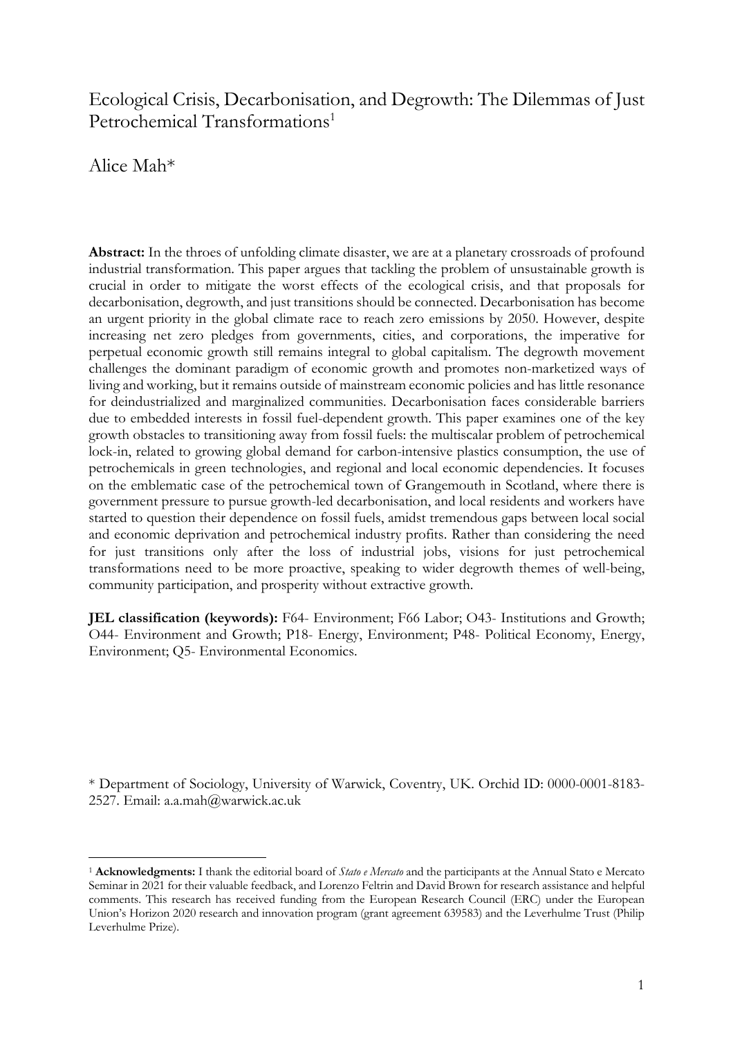# Ecological Crisis, Decarbonisation, and Degrowth: The Dilemmas of Just Petrochemical Transformations 1

Alice Mah\*

**Abstract:** In the throes of unfolding climate disaster, we are at a planetary crossroads of profound industrial transformation. This paper argues that tackling the problem of unsustainable growth is crucial in order to mitigate the worst effects of the ecological crisis, and that proposals for decarbonisation, degrowth, and just transitions should be connected. Decarbonisation has become an urgent priority in the global climate race to reach zero emissions by 2050. However, despite increasing net zero pledges from governments, cities, and corporations, the imperative for perpetual economic growth still remains integral to global capitalism. The degrowth movement challenges the dominant paradigm of economic growth and promotes non-marketized ways of living and working, but it remains outside of mainstream economic policies and has little resonance for deindustrialized and marginalized communities. Decarbonisation faces considerable barriers due to embedded interests in fossil fuel-dependent growth. This paper examines one of the key growth obstacles to transitioning away from fossil fuels: the multiscalar problem of petrochemical lock-in, related to growing global demand for carbon-intensive plastics consumption, the use of petrochemicals in green technologies, and regional and local economic dependencies. It focuses on the emblematic case of the petrochemical town of Grangemouth in Scotland, where there is government pressure to pursue growth-led decarbonisation, and local residents and workers have started to question their dependence on fossil fuels, amidst tremendous gaps between local social and economic deprivation and petrochemical industry profits. Rather than considering the need for just transitions only after the loss of industrial jobs, visions for just petrochemical transformations need to be more proactive, speaking to wider degrowth themes of well-being, community participation, and prosperity without extractive growth.

**JEL classification (keywords):** F64- Environment; F66 Labor; O43- Institutions and Growth; O44- Environment and Growth; P18- Energy, Environment; P48- Political Economy, Energy, Environment; Q5- Environmental Economics.

\* Department of Sociology, University of Warwick, Coventry, UK. Orchid ID: 0000-0001-8183- 2527. Email: a.a.mah@warwick.ac.uk

<sup>1</sup> **Acknowledgments:** I thank the editorial board of *Stato e Mercato* and the participants at the Annual Stato e Mercato Seminar in 2021 for their valuable feedback, and Lorenzo Feltrin and David Brown for research assistance and helpful comments. This research has received funding from the European Research Council (ERC) under the European Union's Horizon 2020 research and innovation program (grant agreement 639583) and the Leverhulme Trust (Philip Leverhulme Prize).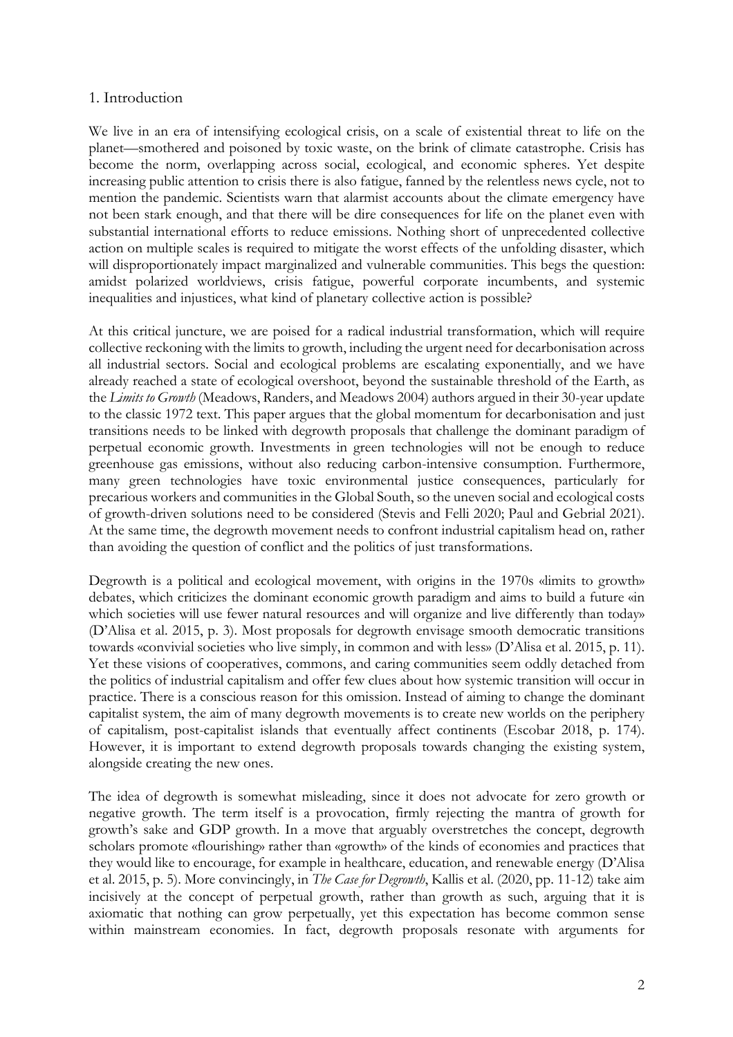## 1. Introduction

We live in an era of intensifying ecological crisis, on a scale of existential threat to life on the planet—smothered and poisoned by toxic waste, on the brink of climate catastrophe. Crisis has become the norm, overlapping across social, ecological, and economic spheres. Yet despite increasing public attention to crisis there is also fatigue, fanned by the relentless news cycle, not to mention the pandemic. Scientists warn that alarmist accounts about the climate emergency have not been stark enough, and that there will be dire consequences for life on the planet even with substantial international efforts to reduce emissions. Nothing short of unprecedented collective action on multiple scales is required to mitigate the worst effects of the unfolding disaster, which will disproportionately impact marginalized and vulnerable communities. This begs the question: amidst polarized worldviews, crisis fatigue, powerful corporate incumbents, and systemic inequalities and injustices, what kind of planetary collective action is possible?

At this critical juncture, we are poised for a radical industrial transformation, which will require collective reckoning with the limits to growth, including the urgent need for decarbonisation across all industrial sectors. Social and ecological problems are escalating exponentially, and we have already reached a state of ecological overshoot, beyond the sustainable threshold of the Earth, as the *Limits to Growth* (Meadows, Randers, and Meadows 2004) authors argued in their 30-year update to the classic 1972 text. This paper argues that the global momentum for decarbonisation and just transitions needs to be linked with degrowth proposals that challenge the dominant paradigm of perpetual economic growth. Investments in green technologies will not be enough to reduce greenhouse gas emissions, without also reducing carbon-intensive consumption. Furthermore, many green technologies have toxic environmental justice consequences, particularly for precarious workers and communities in the Global South, so the uneven social and ecological costs of growth-driven solutions need to be considered (Stevis and Felli 2020; Paul and Gebrial 2021). At the same time, the degrowth movement needs to confront industrial capitalism head on, rather than avoiding the question of conflict and the politics of just transformations.

Degrowth is a political and ecological movement, with origins in the 1970s «limits to growth» debates, which criticizes the dominant economic growth paradigm and aims to build a future «in which societies will use fewer natural resources and will organize and live differently than today» (D'Alisa et al. 2015, p. 3). Most proposals for degrowth envisage smooth democratic transitions towards «convivial societies who live simply, in common and with less» (D'Alisa et al. 2015, p. 11). Yet these visions of cooperatives, commons, and caring communities seem oddly detached from the politics of industrial capitalism and offer few clues about how systemic transition will occur in practice. There is a conscious reason for this omission. Instead of aiming to change the dominant capitalist system, the aim of many degrowth movements is to create new worlds on the periphery of capitalism, post-capitalist islands that eventually affect continents (Escobar 2018, p. 174). However, it is important to extend degrowth proposals towards changing the existing system, alongside creating the new ones.

The idea of degrowth is somewhat misleading, since it does not advocate for zero growth or negative growth. The term itself is a provocation, firmly rejecting the mantra of growth for growth's sake and GDP growth. In a move that arguably overstretches the concept, degrowth scholars promote «flourishing» rather than «growth» of the kinds of economies and practices that they would like to encourage, for example in healthcare, education, and renewable energy (D'Alisa et al. 2015, p. 5). More convincingly, in *The Case for Degrowth*, Kallis et al. (2020, pp. 11-12) take aim incisively at the concept of perpetual growth, rather than growth as such, arguing that it is axiomatic that nothing can grow perpetually, yet this expectation has become common sense within mainstream economies. In fact, degrowth proposals resonate with arguments for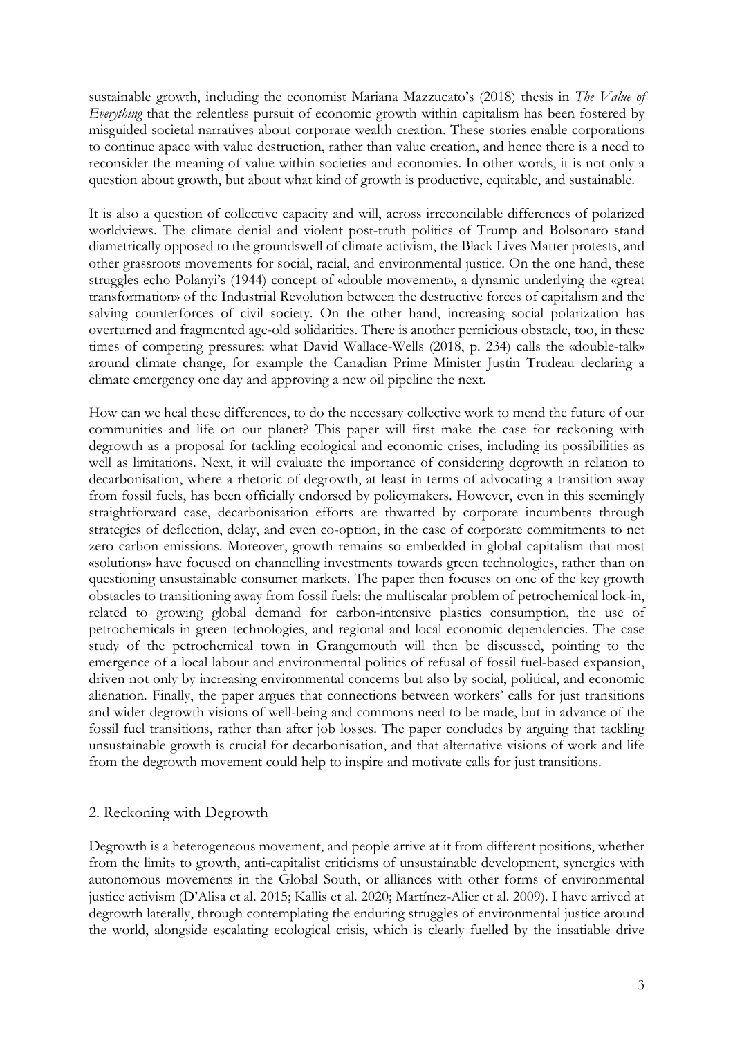sustainable growth, including the economist Mariana Mazzucato's (2018) thesis in *The Value of Everything* that the relentless pursuit of economic growth within capitalism has been fostered by misguided societal narratives about corporate wealth creation. These stories enable corporations to continue apace with value destruction, rather than value creation, and hence there is a need to reconsider the meaning of value within societies and economies. In other words, it is not only a question about growth, but about what kind of growth is productive, equitable, and sustainable.

It is also a question of collective capacity and will, across irreconcilable differences of polarized worldviews. The climate denial and violent post-truth politics of Trump and Bolsonaro stand diametrically opposed to the groundswell of climate activism, the Black Lives Matter protests, and other grassroots movements for social, racial, and environmental justice. On the one hand, these struggles echo Polanyi's (1944) concept of «double movement», a dynamic underlying the «great transformation» of the Industrial Revolution between the destructive forces of capitalism and the salving counterforces of civil society. On the other hand, increasing social polarization has overturned and fragmented age-old solidarities. There is another pernicious obstacle, too, in these times of competing pressures: what David Wallace-Wells (2018, p. 234) calls the «double-talk» around climate change, for example the Canadian Prime Minister Justin Trudeau declaring a climate emergency one day and approving a new oil pipeline the next.

How can we heal these differences, to do the necessary collective work to mend the future of our communities and life on our planet? This paper will first make the case for reckoning with degrowth as a proposal for tackling ecological and economic crises, including its possibilities as well as limitations. Next, it will evaluate the importance of considering degrowth in relation to decarbonisation, where a rhetoric of degrowth, at least in terms of advocating a transition away from fossil fuels, has been officially endorsed by policymakers. However, even in this seemingly straightforward case, decarbonisation efforts are thwarted by corporate incumbents through strategies of deflection, delay, and even co-option, in the case of corporate commitments to net zero carbon emissions. Moreover, growth remains so embedded in global capitalism that most «solutions» have focused on channelling investments towards green technologies, rather than on questioning unsustainable consumer markets. The paper then focuses on one of the key growth obstacles to transitioning away from fossil fuels: the multiscalar problem of petrochemical lock-in, related to growing global demand for carbon-intensive plastics consumption, the use of petrochemicals in green technologies, and regional and local economic dependencies. The case study of the petrochemical town in Grangemouth will then be discussed, pointing to the emergence of a local labour and environmental politics of refusal of fossil fuel-based expansion, driven not only by increasing environmental concerns but also by social, political, and economic alienation. Finally, the paper argues that connections between workers' calls for just transitions and wider degrowth visions of well-being and commons need to be made, but in advance of the fossil fuel transitions, rather than after job losses. The paper concludes by arguing that tackling unsustainable growth is crucial for decarbonisation, and that alternative visions of work and life from the degrowth movement could help to inspire and motivate calls for just transitions.

## 2. Reckoning with Degrowth

Degrowth is a heterogeneous movement, and people arrive at it from different positions, whether from the limits to growth, anti-capitalist criticisms of unsustainable development, synergies with autonomous movements in the Global South, or alliances with other forms of environmental justice activism (D'Alisa et al. 2015; Kallis et al. 2020; Martínez-Alier et al. 2009). I have arrived at degrowth laterally, through contemplating the enduring struggles of environmental justice around the world, alongside escalating ecological crisis, which is clearly fuelled by the insatiable drive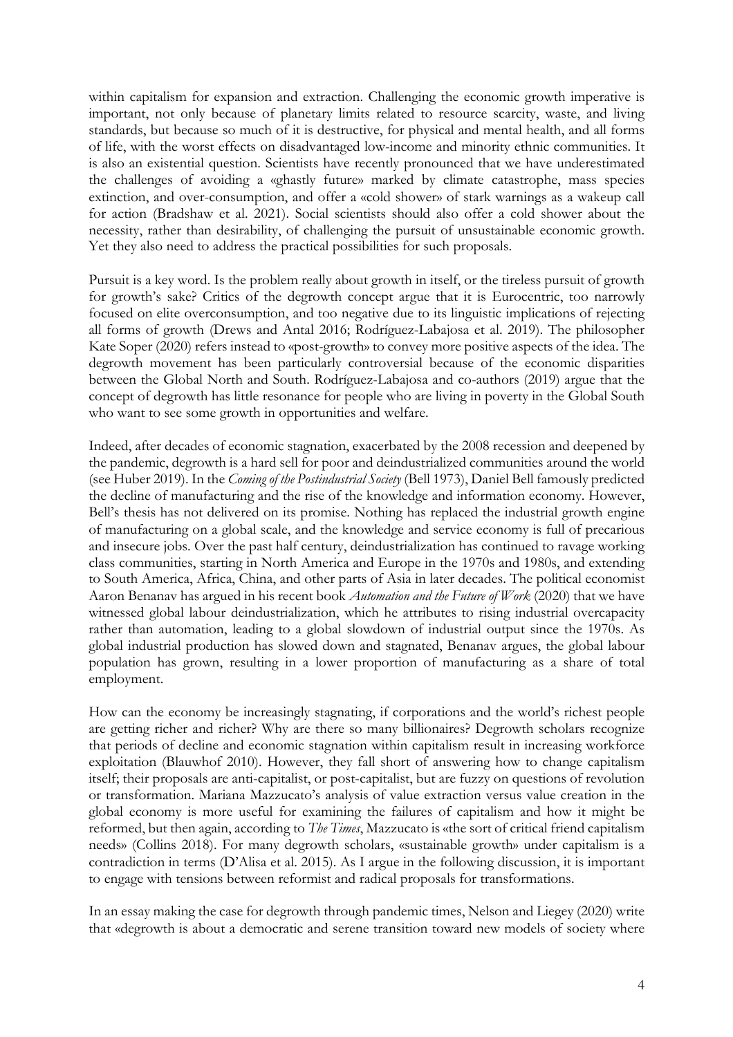within capitalism for expansion and extraction. Challenging the economic growth imperative is important, not only because of planetary limits related to resource scarcity, waste, and living standards, but because so much of it is destructive, for physical and mental health, and all forms of life, with the worst effects on disadvantaged low-income and minority ethnic communities. It is also an existential question. Scientists have recently pronounced that we have underestimated the challenges of avoiding a «ghastly future» marked by climate catastrophe, mass species extinction, and over-consumption, and offer a «cold shower» of stark warnings as a wakeup call for action (Bradshaw et al. 2021). Social scientists should also offer a cold shower about the necessity, rather than desirability, of challenging the pursuit of unsustainable economic growth. Yet they also need to address the practical possibilities for such proposals.

Pursuit is a key word. Is the problem really about growth in itself, or the tireless pursuit of growth for growth's sake? Critics of the degrowth concept argue that it is Eurocentric, too narrowly focused on elite overconsumption, and too negative due to its linguistic implications of rejecting all forms of growth (Drews and Antal 2016; Rodríguez-Labajosa et al. 2019). The philosopher Kate Soper (2020) refers instead to «post-growth» to convey more positive aspects of the idea. The degrowth movement has been particularly controversial because of the economic disparities between the Global North and South. Rodríguez-Labajosa and co-authors (2019) argue that the concept of degrowth has little resonance for people who are living in poverty in the Global South who want to see some growth in opportunities and welfare.

Indeed, after decades of economic stagnation, exacerbated by the 2008 recession and deepened by the pandemic, degrowth is a hard sell for poor and deindustrialized communities around the world (see Huber 2019). In the *Coming of the Postindustrial Society* (Bell 1973), Daniel Bell famously predicted the decline of manufacturing and the rise of the knowledge and information economy. However, Bell's thesis has not delivered on its promise. Nothing has replaced the industrial growth engine of manufacturing on a global scale, and the knowledge and service economy is full of precarious and insecure jobs. Over the past half century, deindustrialization has continued to ravage working class communities, starting in North America and Europe in the 1970s and 1980s, and extending to South America, Africa, China, and other parts of Asia in later decades. The political economist Aaron Benanav has argued in his recent book *Automation and the Future of Work* (2020) that we have witnessed global labour deindustrialization, which he attributes to rising industrial overcapacity rather than automation, leading to a global slowdown of industrial output since the 1970s. As global industrial production has slowed down and stagnated, Benanav argues, the global labour population has grown, resulting in a lower proportion of manufacturing as a share of total employment.

How can the economy be increasingly stagnating, if corporations and the world's richest people are getting richer and richer? Why are there so many billionaires? Degrowth scholars recognize that periods of decline and economic stagnation within capitalism result in increasing workforce exploitation (Blauwhof 2010). However, they fall short of answering how to change capitalism itself; their proposals are anti-capitalist, or post-capitalist, but are fuzzy on questions of revolution or transformation. Mariana Mazzucato's analysis of value extraction versus value creation in the global economy is more useful for examining the failures of capitalism and how it might be reformed, but then again, according to *The Times*, Mazzucato is «the sort of critical friend capitalism needs» (Collins 2018). For many degrowth scholars, «sustainable growth» under capitalism is a contradiction in terms (D'Alisa et al. 2015). As I argue in the following discussion, it is important to engage with tensions between reformist and radical proposals for transformations.

In an essay making the case for degrowth through pandemic times, Nelson and Liegey (2020) write that «degrowth is about a democratic and serene transition toward new models of society where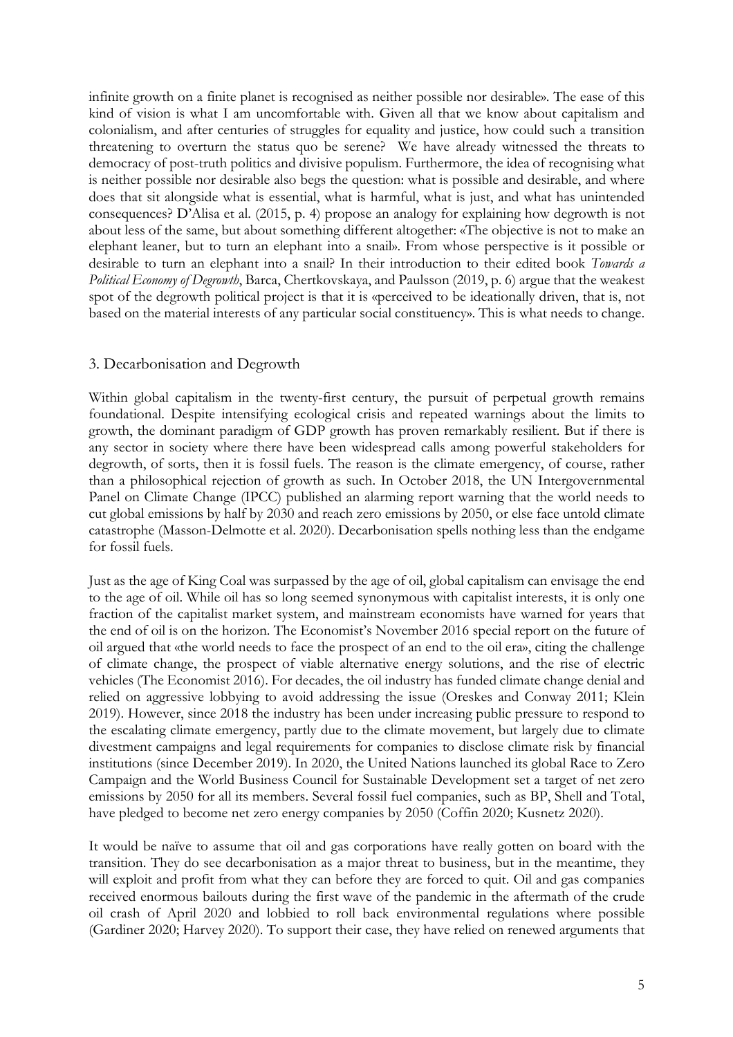infinite growth on a finite planet is recognised as neither possible nor desirable». The ease of this kind of vision is what I am uncomfortable with. Given all that we know about capitalism and colonialism, and after centuries of struggles for equality and justice, how could such a transition threatening to overturn the status quo be serene? We have already witnessed the threats to democracy of post-truth politics and divisive populism. Furthermore, the idea of recognising what is neither possible nor desirable also begs the question: what is possible and desirable, and where does that sit alongside what is essential, what is harmful, what is just, and what has unintended consequences? D'Alisa et al. (2015, p. 4) propose an analogy for explaining how degrowth is not about less of the same, but about something different altogether: «The objective is not to make an elephant leaner, but to turn an elephant into a snail». From whose perspective is it possible or desirable to turn an elephant into a snail? In their introduction to their edited book *Towards a Political Economy of Degrowth*, Barca, Chertkovskaya, and Paulsson (2019, p. 6) argue that the weakest spot of the degrowth political project is that it is «perceived to be ideationally driven, that is, not based on the material interests of any particular social constituency». This is what needs to change.

## 3. Decarbonisation and Degrowth

Within global capitalism in the twenty-first century, the pursuit of perpetual growth remains foundational. Despite intensifying ecological crisis and repeated warnings about the limits to growth, the dominant paradigm of GDP growth has proven remarkably resilient. But if there is any sector in society where there have been widespread calls among powerful stakeholders for degrowth, of sorts, then it is fossil fuels. The reason is the climate emergency, of course, rather than a philosophical rejection of growth as such. In October 2018, the UN Intergovernmental Panel on Climate Change (IPCC) published an alarming report warning that the world needs to cut global emissions by half by 2030 and reach zero emissions by 2050, or else face untold climate catastrophe (Masson-Delmotte et al. 2020). Decarbonisation spells nothing less than the endgame for fossil fuels.

Just as the age of King Coal was surpassed by the age of oil, global capitalism can envisage the end to the age of oil. While oil has so long seemed synonymous with capitalist interests, it is only one fraction of the capitalist market system, and mainstream economists have warned for years that the end of oil is on the horizon. The Economist's November 2016 special report on the future of oil argued that «the world needs to face the prospect of an end to the oil era», citing the challenge of climate change, the prospect of viable alternative energy solutions, and the rise of electric vehicles (The Economist 2016). For decades, the oil industry has funded climate change denial and relied on aggressive lobbying to avoid addressing the issue (Oreskes and Conway 2011; Klein 2019). However, since 2018 the industry has been under increasing public pressure to respond to the escalating climate emergency, partly due to the climate movement, but largely due to climate divestment campaigns and legal requirements for companies to disclose climate risk by financial institutions (since December 2019). In 2020, the United Nations launched its global Race to Zero Campaign and the World Business Council for Sustainable Development set a target of net zero emissions by 2050 for all its members. Several fossil fuel companies, such as BP, Shell and Total, have pledged to become net zero energy companies by 2050 (Coffin 2020; Kusnetz 2020).

It would be naïve to assume that oil and gas corporations have really gotten on board with the transition. They do see decarbonisation as a major threat to business, but in the meantime, they will exploit and profit from what they can before they are forced to quit. Oil and gas companies received enormous bailouts during the first wave of the pandemic in the aftermath of the crude oil crash of April 2020 and lobbied to roll back environmental regulations where possible (Gardiner 2020; Harvey 2020). To support their case, they have relied on renewed arguments that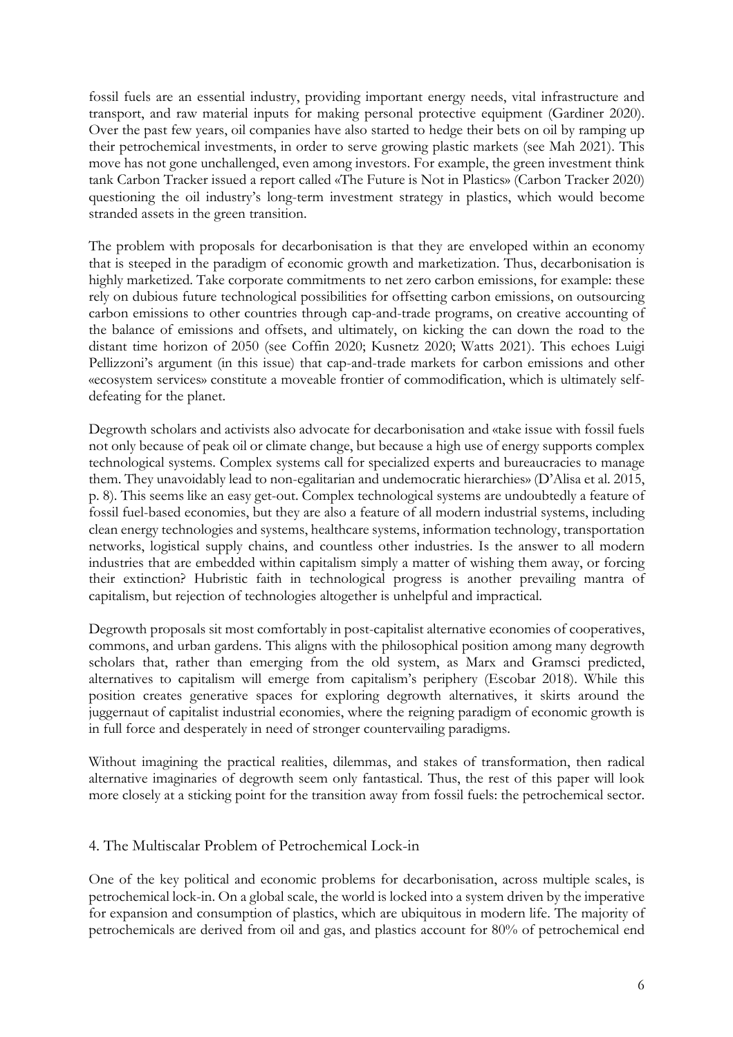fossil fuels are an essential industry, providing important energy needs, vital infrastructure and transport, and raw material inputs for making personal protective equipment (Gardiner 2020). Over the past few years, oil companies have also started to hedge their bets on oil by ramping up their petrochemical investments, in order to serve growing plastic markets (see Mah 2021). This move has not gone unchallenged, even among investors. For example, the green investment think tank Carbon Tracker issued a report called «The Future is Not in Plastics» (Carbon Tracker 2020) questioning the oil industry's long-term investment strategy in plastics, which would become stranded assets in the green transition.

The problem with proposals for decarbonisation is that they are enveloped within an economy that is steeped in the paradigm of economic growth and marketization. Thus, decarbonisation is highly marketized. Take corporate commitments to net zero carbon emissions, for example: these rely on dubious future technological possibilities for offsetting carbon emissions, on outsourcing carbon emissions to other countries through cap-and-trade programs, on creative accounting of the balance of emissions and offsets, and ultimately, on kicking the can down the road to the distant time horizon of 2050 (see Coffin 2020; Kusnetz 2020; Watts 2021). This echoes Luigi Pellizzoni's argument (in this issue) that cap-and-trade markets for carbon emissions and other «ecosystem services» constitute a moveable frontier of commodification, which is ultimately selfdefeating for the planet.

Degrowth scholars and activists also advocate for decarbonisation and «take issue with fossil fuels not only because of peak oil or climate change, but because a high use of energy supports complex technological systems. Complex systems call for specialized experts and bureaucracies to manage them. They unavoidably lead to non-egalitarian and undemocratic hierarchies» (D'Alisa et al. 2015, p. 8). This seems like an easy get-out. Complex technological systems are undoubtedly a feature of fossil fuel-based economies, but they are also a feature of all modern industrial systems, including clean energy technologies and systems, healthcare systems, information technology, transportation networks, logistical supply chains, and countless other industries. Is the answer to all modern industries that are embedded within capitalism simply a matter of wishing them away, or forcing their extinction? Hubristic faith in technological progress is another prevailing mantra of capitalism, but rejection of technologies altogether is unhelpful and impractical.

Degrowth proposals sit most comfortably in post-capitalist alternative economies of cooperatives, commons, and urban gardens. This aligns with the philosophical position among many degrowth scholars that, rather than emerging from the old system, as Marx and Gramsci predicted, alternatives to capitalism will emerge from capitalism's periphery (Escobar 2018). While this position creates generative spaces for exploring degrowth alternatives, it skirts around the juggernaut of capitalist industrial economies, where the reigning paradigm of economic growth is in full force and desperately in need of stronger countervailing paradigms.

Without imagining the practical realities, dilemmas, and stakes of transformation, then radical alternative imaginaries of degrowth seem only fantastical. Thus, the rest of this paper will look more closely at a sticking point for the transition away from fossil fuels: the petrochemical sector.

# 4. The Multiscalar Problem of Petrochemical Lock-in

One of the key political and economic problems for decarbonisation, across multiple scales, is petrochemical lock-in. On a global scale, the world is locked into a system driven by the imperative for expansion and consumption of plastics, which are ubiquitous in modern life. The majority of petrochemicals are derived from oil and gas, and plastics account for 80% of petrochemical end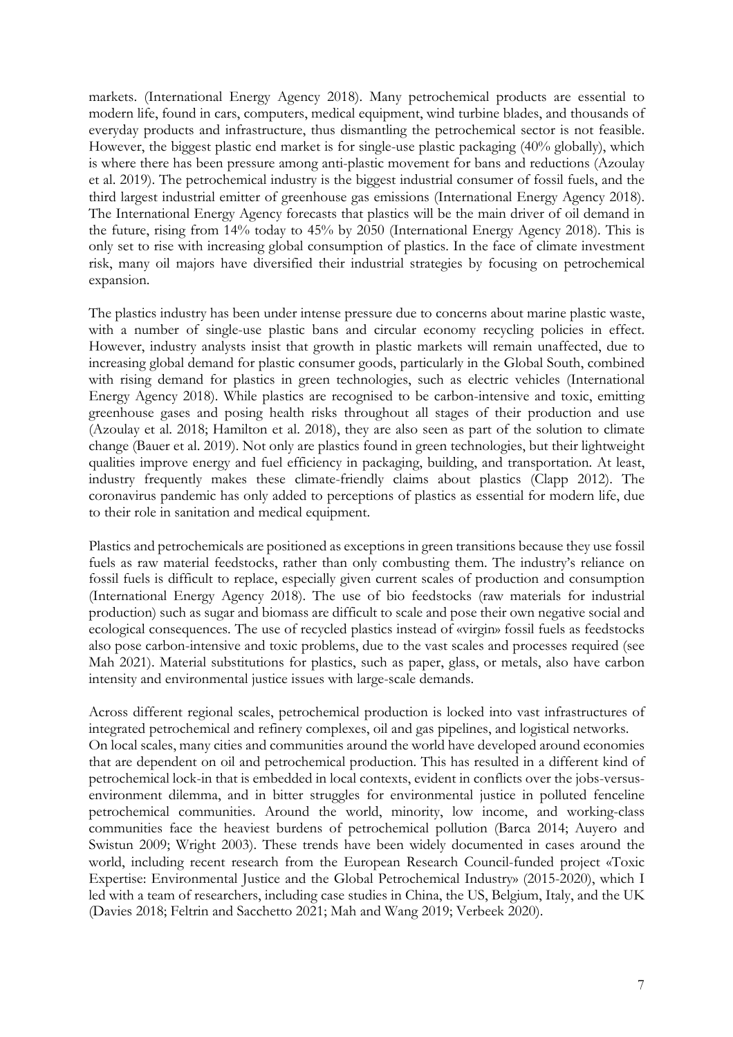markets. (International Energy Agency 2018). Many petrochemical products are essential to modern life, found in cars, computers, medical equipment, wind turbine blades, and thousands of everyday products and infrastructure, thus dismantling the petrochemical sector is not feasible. However, the biggest plastic end market is for single-use plastic packaging (40% globally), which is where there has been pressure among anti-plastic movement for bans and reductions (Azoulay et al. 2019). The petrochemical industry is the biggest industrial consumer of fossil fuels, and the third largest industrial emitter of greenhouse gas emissions (International Energy Agency 2018). The International Energy Agency forecasts that plastics will be the main driver of oil demand in the future, rising from 14% today to 45% by 2050 (International Energy Agency 2018). This is only set to rise with increasing global consumption of plastics. In the face of climate investment risk, many oil majors have diversified their industrial strategies by focusing on petrochemical expansion.

The plastics industry has been under intense pressure due to concerns about marine plastic waste, with a number of single-use plastic bans and circular economy recycling policies in effect. However, industry analysts insist that growth in plastic markets will remain unaffected, due to increasing global demand for plastic consumer goods, particularly in the Global South, combined with rising demand for plastics in green technologies, such as electric vehicles (International Energy Agency 2018). While plastics are recognised to be carbon-intensive and toxic, emitting greenhouse gases and posing health risks throughout all stages of their production and use (Azoulay et al. 2018; Hamilton et al. 2018), they are also seen as part of the solution to climate change (Bauer et al. 2019). Not only are plastics found in green technologies, but their lightweight qualities improve energy and fuel efficiency in packaging, building, and transportation. At least, industry frequently makes these climate-friendly claims about plastics (Clapp 2012). The coronavirus pandemic has only added to perceptions of plastics as essential for modern life, due to their role in sanitation and medical equipment.

Plastics and petrochemicals are positioned as exceptions in green transitions because they use fossil fuels as raw material feedstocks, rather than only combusting them. The industry's reliance on fossil fuels is difficult to replace, especially given current scales of production and consumption (International Energy Agency 2018). The use of bio feedstocks (raw materials for industrial production) such as sugar and biomass are difficult to scale and pose their own negative social and ecological consequences. The use of recycled plastics instead of «virgin» fossil fuels as feedstocks also pose carbon-intensive and toxic problems, due to the vast scales and processes required (see Mah 2021). Material substitutions for plastics, such as paper, glass, or metals, also have carbon intensity and environmental justice issues with large-scale demands.

Across different regional scales, petrochemical production is locked into vast infrastructures of integrated petrochemical and refinery complexes, oil and gas pipelines, and logistical networks. On local scales, many cities and communities around the world have developed around economies that are dependent on oil and petrochemical production. This has resulted in a different kind of petrochemical lock-in that is embedded in local contexts, evident in conflicts over the jobs-versusenvironment dilemma, and in bitter struggles for environmental justice in polluted fenceline petrochemical communities. Around the world, minority, low income, and working-class communities face the heaviest burdens of petrochemical pollution (Barca 2014; Auyero and Swistun 2009; Wright 2003). These trends have been widely documented in cases around the world, including recent research from the European Research Council-funded project «Toxic Expertise: Environmental Justice and the Global Petrochemical Industry» (2015-2020), which I led with a team of researchers, including case studies in China, the US, Belgium, Italy, and the UK (Davies 2018; Feltrin and Sacchetto 2021; Mah and Wang 2019; Verbeek 2020).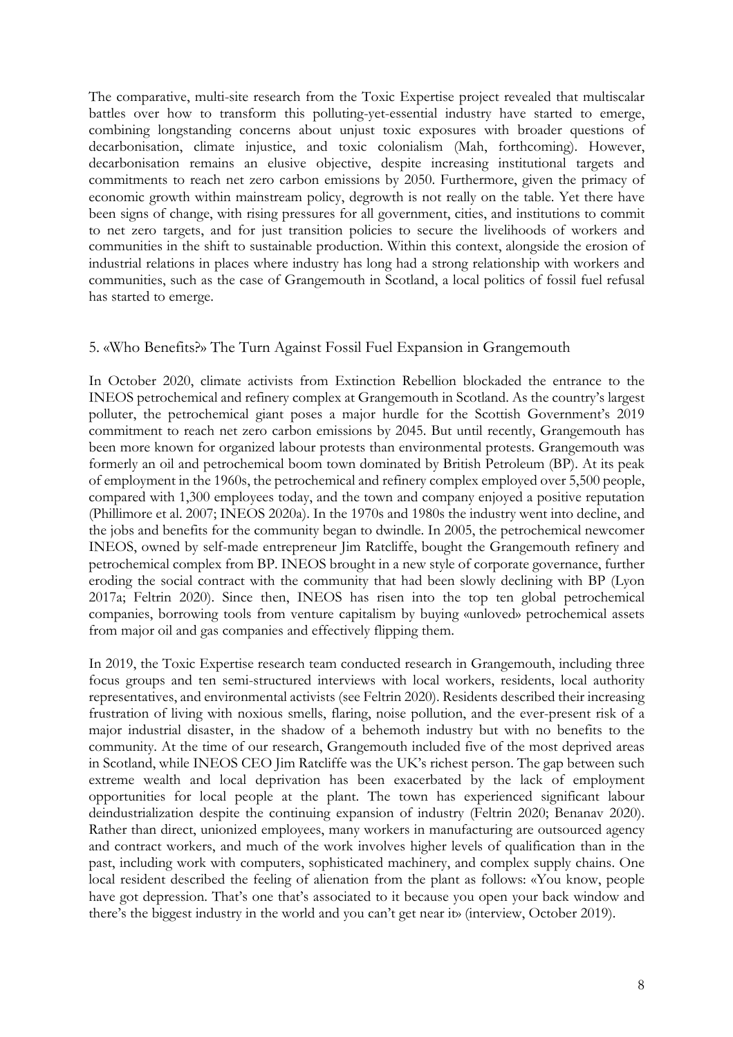The comparative, multi-site research from the Toxic Expertise project revealed that multiscalar battles over how to transform this polluting-yet-essential industry have started to emerge, combining longstanding concerns about unjust toxic exposures with broader questions of decarbonisation, climate injustice, and toxic colonialism (Mah, forthcoming). However, decarbonisation remains an elusive objective, despite increasing institutional targets and commitments to reach net zero carbon emissions by 2050. Furthermore, given the primacy of economic growth within mainstream policy, degrowth is not really on the table. Yet there have been signs of change, with rising pressures for all government, cities, and institutions to commit to net zero targets, and for just transition policies to secure the livelihoods of workers and communities in the shift to sustainable production. Within this context, alongside the erosion of industrial relations in places where industry has long had a strong relationship with workers and communities, such as the case of Grangemouth in Scotland, a local politics of fossil fuel refusal has started to emerge.

## 5. «Who Benefits?» The Turn Against Fossil Fuel Expansion in Grangemouth

In October 2020, climate activists from Extinction Rebellion blockaded the entrance to the INEOS petrochemical and refinery complex at Grangemouth in Scotland. As the country's largest polluter, the petrochemical giant poses a major hurdle for the Scottish Government's 2019 commitment to reach net zero carbon emissions by 2045. But until recently, Grangemouth has been more known for organized labour protests than environmental protests. Grangemouth was formerly an oil and petrochemical boom town dominated by British Petroleum (BP). At its peak of employment in the 1960s, the petrochemical and refinery complex employed over 5,500 people, compared with 1,300 employees today, and the town and company enjoyed a positive reputation (Phillimore et al. 2007; INEOS 2020a). In the 1970s and 1980s the industry went into decline, and the jobs and benefits for the community began to dwindle. In 2005, the petrochemical newcomer INEOS, owned by self-made entrepreneur Jim Ratcliffe, bought the Grangemouth refinery and petrochemical complex from BP. INEOS brought in a new style of corporate governance, further eroding the social contract with the community that had been slowly declining with BP (Lyon 2017a; Feltrin 2020). Since then, INEOS has risen into the top ten global petrochemical companies, borrowing tools from venture capitalism by buying «unloved» petrochemical assets from major oil and gas companies and effectively flipping them.

In 2019, the Toxic Expertise research team conducted research in Grangemouth, including three focus groups and ten semi-structured interviews with local workers, residents, local authority representatives, and environmental activists (see Feltrin 2020). Residents described their increasing frustration of living with noxious smells, flaring, noise pollution, and the ever-present risk of a major industrial disaster, in the shadow of a behemoth industry but with no benefits to the community. At the time of our research, Grangemouth included five of the most deprived areas in Scotland, while INEOS CEO Jim Ratcliffe was the UK's richest person. The gap between such extreme wealth and local deprivation has been exacerbated by the lack of employment opportunities for local people at the plant. The town has experienced significant labour deindustrialization despite the continuing expansion of industry (Feltrin 2020; Benanav 2020). Rather than direct, unionized employees, many workers in manufacturing are outsourced agency and contract workers, and much of the work involves higher levels of qualification than in the past, including work with computers, sophisticated machinery, and complex supply chains. One local resident described the feeling of alienation from the plant as follows: «You know, people have got depression. That's one that's associated to it because you open your back window and there's the biggest industry in the world and you can't get near it» (interview, October 2019).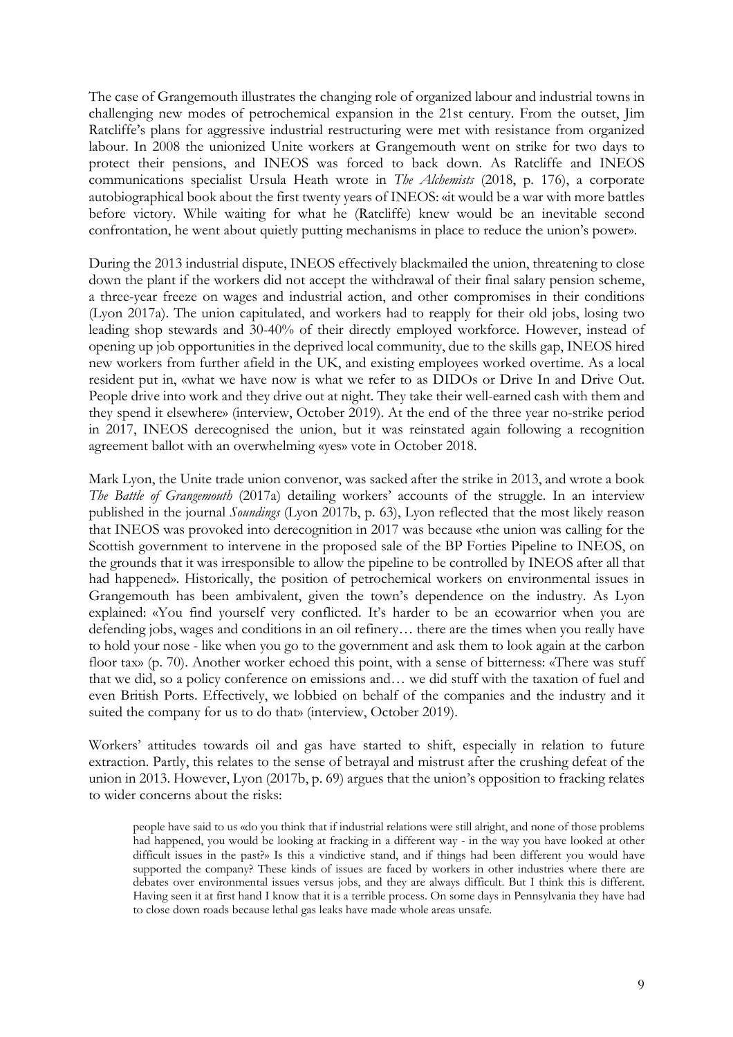The case of Grangemouth illustrates the changing role of organized labour and industrial towns in challenging new modes of petrochemical expansion in the 21st century. From the outset, Jim Ratcliffe's plans for aggressive industrial restructuring were met with resistance from organized labour. In 2008 the unionized Unite workers at Grangemouth went on strike for two days to protect their pensions, and INEOS was forced to back down. As Ratcliffe and INEOS communications specialist Ursula Heath wrote in *The Alchemists* (2018, p. 176), a corporate autobiographical book about the first twenty years of INEOS: «it would be a war with more battles before victory. While waiting for what he (Ratcliffe) knew would be an inevitable second confrontation, he went about quietly putting mechanisms in place to reduce the union's power».

During the 2013 industrial dispute, INEOS effectively blackmailed the union, threatening to close down the plant if the workers did not accept the withdrawal of their final salary pension scheme, a three-year freeze on wages and industrial action, and other compromises in their conditions (Lyon 2017a). The union capitulated, and workers had to reapply for their old jobs, losing two leading shop stewards and 30-40% of their directly employed workforce. However, instead of opening up job opportunities in the deprived local community, due to the skills gap, INEOS hired new workers from further afield in the UK, and existing employees worked overtime. As a local resident put in, «what we have now is what we refer to as DIDOs or Drive In and Drive Out. People drive into work and they drive out at night. They take their well-earned cash with them and they spend it elsewhere» (interview, October 2019). At the end of the three year no-strike period in 2017, INEOS derecognised the union, but it was reinstated again following a recognition agreement ballot with an overwhelming «yes» vote in October 2018.

Mark Lyon, the Unite trade union convenor, was sacked after the strike in 2013, and wrote a book *The Battle of Grangemouth* (2017a) detailing workers' accounts of the struggle. In an interview published in the journal *Soundings* (Lyon 2017b, p. 63), Lyon reflected that the most likely reason that INEOS was provoked into derecognition in 2017 was because «the union was calling for the Scottish government to intervene in the proposed sale of the BP Forties Pipeline to INEOS, on the grounds that it was irresponsible to allow the pipeline to be controlled by INEOS after all that had happened». Historically, the position of petrochemical workers on environmental issues in Grangemouth has been ambivalent, given the town's dependence on the industry. As Lyon explained: «You find yourself very conflicted. It's harder to be an ecowarrior when you are defending jobs, wages and conditions in an oil refinery… there are the times when you really have to hold your nose - like when you go to the government and ask them to look again at the carbon floor tax» (p. 70). Another worker echoed this point, with a sense of bitterness: «There was stuff that we did, so a policy conference on emissions and… we did stuff with the taxation of fuel and even British Ports. Effectively, we lobbied on behalf of the companies and the industry and it suited the company for us to do that» (interview, October 2019).

Workers' attitudes towards oil and gas have started to shift, especially in relation to future extraction. Partly, this relates to the sense of betrayal and mistrust after the crushing defeat of the union in 2013. However, Lyon (2017b, p. 69) argues that the union's opposition to fracking relates to wider concerns about the risks:

people have said to us «do you think that if industrial relations were still alright, and none of those problems had happened, you would be looking at fracking in a different way - in the way you have looked at other difficult issues in the past?» Is this a vindictive stand, and if things had been different you would have supported the company? These kinds of issues are faced by workers in other industries where there are debates over environmental issues versus jobs, and they are always difficult. But I think this is different. Having seen it at first hand I know that it is a terrible process. On some days in Pennsylvania they have had to close down roads because lethal gas leaks have made whole areas unsafe.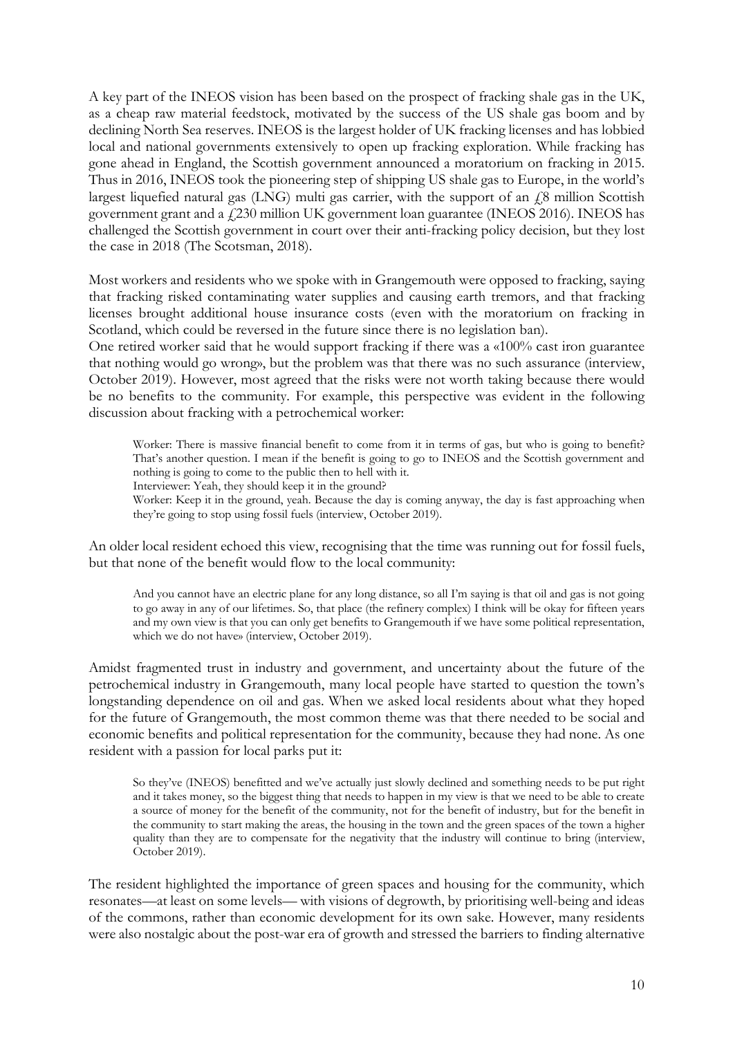A key part of the INEOS vision has been based on the prospect of fracking shale gas in the UK, as a cheap raw material feedstock, motivated by the success of the US shale gas boom and by declining North Sea reserves. INEOS is the largest holder of UK fracking licenses and has lobbied local and national governments extensively to open up fracking exploration. While fracking has gone ahead in England, the Scottish government announced a moratorium on fracking in 2015. Thus in 2016, INEOS took the pioneering step of shipping US shale gas to Europe, in the world's largest liquefied natural gas (LNG) multi gas carrier, with the support of an  $\ell$ 8 million Scottish government grant and a  $\frac{1}{230}$  million UK government loan guarantee (INEOS 2016). INEOS has challenged the Scottish government in court over their anti-fracking policy decision, but they lost the case in 2018 (The Scotsman, 2018).

Most workers and residents who we spoke with in Grangemouth were opposed to fracking, saying that fracking risked contaminating water supplies and causing earth tremors, and that fracking licenses brought additional house insurance costs (even with the moratorium on fracking in Scotland, which could be reversed in the future since there is no legislation ban).

One retired worker said that he would support fracking if there was a «100% cast iron guarantee that nothing would go wrong», but the problem was that there was no such assurance (interview, October 2019). However, most agreed that the risks were not worth taking because there would be no benefits to the community. For example, this perspective was evident in the following discussion about fracking with a petrochemical worker:

Worker: There is massive financial benefit to come from it in terms of gas, but who is going to benefit? That's another question. I mean if the benefit is going to go to INEOS and the Scottish government and nothing is going to come to the public then to hell with it.

Interviewer: Yeah, they should keep it in the ground?

Worker: Keep it in the ground, yeah. Because the day is coming anyway, the day is fast approaching when they're going to stop using fossil fuels (interview, October 2019).

An older local resident echoed this view, recognising that the time was running out for fossil fuels, but that none of the benefit would flow to the local community:

And you cannot have an electric plane for any long distance, so all I'm saying is that oil and gas is not going to go away in any of our lifetimes. So, that place (the refinery complex) I think will be okay for fifteen years and my own view is that you can only get benefits to Grangemouth if we have some political representation, which we do not have» (interview, October 2019).

Amidst fragmented trust in industry and government, and uncertainty about the future of the petrochemical industry in Grangemouth, many local people have started to question the town's longstanding dependence on oil and gas. When we asked local residents about what they hoped for the future of Grangemouth, the most common theme was that there needed to be social and economic benefits and political representation for the community, because they had none. As one resident with a passion for local parks put it:

So they've (INEOS) benefitted and we've actually just slowly declined and something needs to be put right and it takes money, so the biggest thing that needs to happen in my view is that we need to be able to create a source of money for the benefit of the community, not for the benefit of industry, but for the benefit in the community to start making the areas, the housing in the town and the green spaces of the town a higher quality than they are to compensate for the negativity that the industry will continue to bring (interview, October 2019).

The resident highlighted the importance of green spaces and housing for the community, which resonates—at least on some levels— with visions of degrowth, by prioritising well-being and ideas of the commons, rather than economic development for its own sake. However, many residents were also nostalgic about the post-war era of growth and stressed the barriers to finding alternative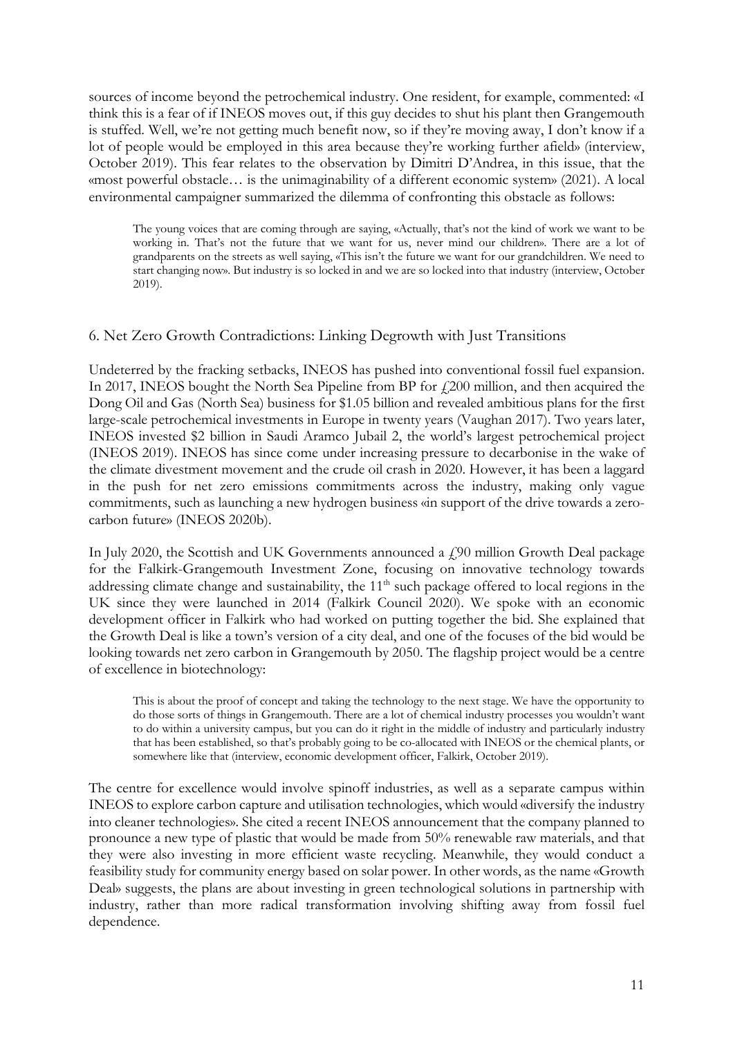sources of income beyond the petrochemical industry. One resident, for example, commented: «I think this is a fear of if INEOS moves out, if this guy decides to shut his plant then Grangemouth is stuffed. Well, we're not getting much benefit now, so if they're moving away, I don't know if a lot of people would be employed in this area because they're working further afield» (interview, October 2019). This fear relates to the observation by Dimitri D'Andrea, in this issue, that the «most powerful obstacle… is the unimaginability of a different economic system» (2021). A local environmental campaigner summarized the dilemma of confronting this obstacle as follows:

The young voices that are coming through are saying, «Actually, that's not the kind of work we want to be working in. That's not the future that we want for us, never mind our children». There are a lot of grandparents on the streets as well saying, «This isn't the future we want for our grandchildren. We need to start changing now». But industry is so locked in and we are so locked into that industry (interview, October 2019).

## 6. Net Zero Growth Contradictions: Linking Degrowth with Just Transitions

Undeterred by the fracking setbacks, INEOS has pushed into conventional fossil fuel expansion. In 2017, INEOS bought the North Sea Pipeline from BP for  $\ell$  200 million, and then acquired the Dong Oil and Gas (North Sea) business for \$1.05 billion and revealed ambitious plans for the first large-scale petrochemical investments in Europe in twenty years (Vaughan 2017). Two years later, INEOS invested \$2 billion in Saudi Aramco Jubail 2, the world's largest petrochemical project (INEOS 2019). INEOS has since come under increasing pressure to decarbonise in the wake of the climate divestment movement and the crude oil crash in 2020. However, it has been a laggard in the push for net zero emissions commitments across the industry, making only vague commitments, such as launching a new hydrogen business «in support of the drive towards a zerocarbon future» (INEOS 2020b).

In July 2020, the Scottish and UK Governments announced a  $f$  90 million Growth Deal package for the Falkirk-Grangemouth Investment Zone, focusing on innovative technology towards addressing climate change and sustainability, the 11<sup>th</sup> such package offered to local regions in the UK since they were launched in 2014 (Falkirk Council 2020). We spoke with an economic development officer in Falkirk who had worked on putting together the bid. She explained that the Growth Deal is like a town's version of a city deal, and one of the focuses of the bid would be looking towards net zero carbon in Grangemouth by 2050. The flagship project would be a centre of excellence in biotechnology:

This is about the proof of concept and taking the technology to the next stage. We have the opportunity to do those sorts of things in Grangemouth. There are a lot of chemical industry processes you wouldn't want to do within a university campus, but you can do it right in the middle of industry and particularly industry that has been established, so that's probably going to be co-allocated with INEOS or the chemical plants, or somewhere like that (interview, economic development officer, Falkirk, October 2019).

The centre for excellence would involve spinoff industries, as well as a separate campus within INEOS to explore carbon capture and utilisation technologies, which would «diversify the industry into cleaner technologies». She cited a recent INEOS announcement that the company planned to pronounce a new type of plastic that would be made from 50% renewable raw materials, and that they were also investing in more efficient waste recycling. Meanwhile, they would conduct a feasibility study for community energy based on solar power. In other words, as the name «Growth Deal» suggests, the plans are about investing in green technological solutions in partnership with industry, rather than more radical transformation involving shifting away from fossil fuel dependence.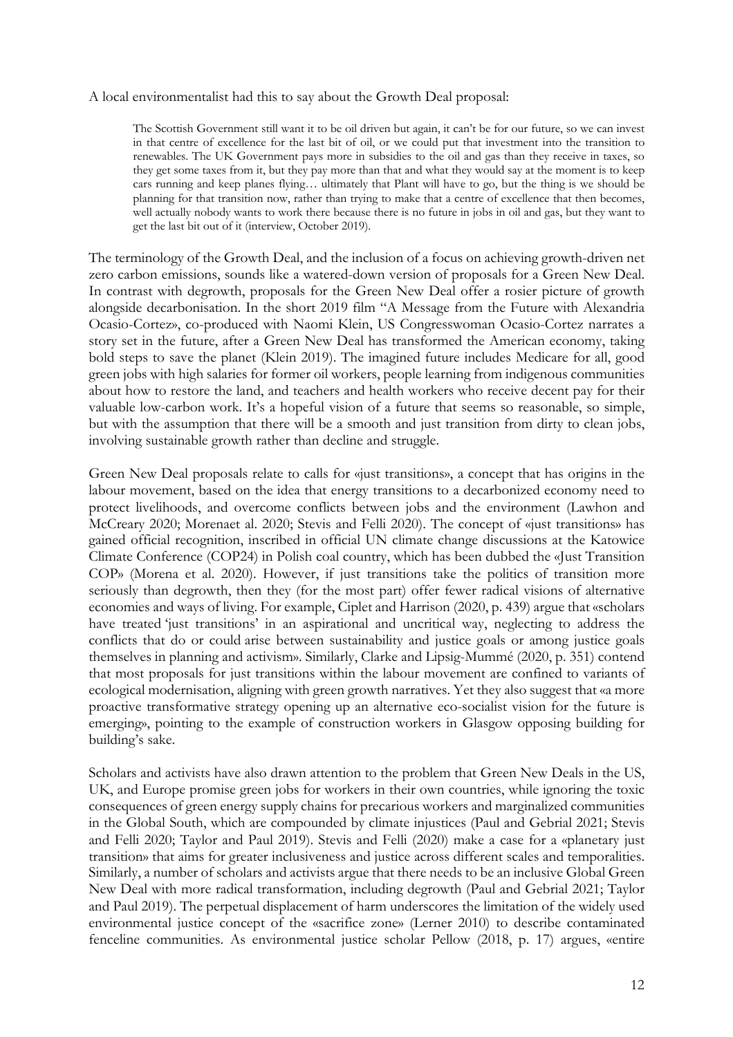A local environmentalist had this to say about the Growth Deal proposal:

The Scottish Government still want it to be oil driven but again, it can't be for our future, so we can invest in that centre of excellence for the last bit of oil, or we could put that investment into the transition to renewables. The UK Government pays more in subsidies to the oil and gas than they receive in taxes, so they get some taxes from it, but they pay more than that and what they would say at the moment is to keep cars running and keep planes flying… ultimately that Plant will have to go, but the thing is we should be planning for that transition now, rather than trying to make that a centre of excellence that then becomes, well actually nobody wants to work there because there is no future in jobs in oil and gas, but they want to get the last bit out of it (interview, October 2019).

The terminology of the Growth Deal, and the inclusion of a focus on achieving growth-driven net zero carbon emissions, sounds like a watered-down version of proposals for a Green New Deal. In contrast with degrowth, proposals for the Green New Deal offer a rosier picture of growth alongside decarbonisation. In the short 2019 film "A Message from the Future with Alexandria Ocasio-Cortez», co-produced with Naomi Klein, US Congresswoman Ocasio-Cortez narrates a story set in the future, after a Green New Deal has transformed the American economy, taking bold steps to save the planet (Klein 2019). The imagined future includes Medicare for all, good green jobs with high salaries for former oil workers, people learning from indigenous communities about how to restore the land, and teachers and health workers who receive decent pay for their valuable low-carbon work. It's a hopeful vision of a future that seems so reasonable, so simple, but with the assumption that there will be a smooth and just transition from dirty to clean jobs, involving sustainable growth rather than decline and struggle.

Green New Deal proposals relate to calls for «just transitions», a concept that has origins in the labour movement, based on the idea that energy transitions to a decarbonized economy need to protect livelihoods, and overcome conflicts between jobs and the environment (Lawhon and McCreary 2020; Morenaet al. 2020; Stevis and Felli 2020). The concept of «just transitions» has gained official recognition, inscribed in official UN climate change discussions at the Katowice Climate Conference (COP24) in Polish coal country, which has been dubbed the «Just Transition COP» (Morena et al. 2020). However, if just transitions take the politics of transition more seriously than degrowth, then they (for the most part) offer fewer radical visions of alternative economies and ways of living. For example, Ciplet and Harrison (2020, p. 439) argue that «scholars have treated 'just transitions' in an aspirational and uncritical way, neglecting to address the conflicts that do or could arise between sustainability and justice goals or among justice goals themselves in planning and activism». Similarly, Clarke and Lipsig-Mummé (2020, p. 351) contend that most proposals for just transitions within the labour movement are confined to variants of ecological modernisation, aligning with green growth narratives. Yet they also suggest that «a more proactive transformative strategy opening up an alternative eco-socialist vision for the future is emerging», pointing to the example of construction workers in Glasgow opposing building for building's sake.

Scholars and activists have also drawn attention to the problem that Green New Deals in the US, UK, and Europe promise green jobs for workers in their own countries, while ignoring the toxic consequences of green energy supply chains for precarious workers and marginalized communities in the Global South, which are compounded by climate injustices (Paul and Gebrial 2021; Stevis and Felli 2020; Taylor and Paul 2019). Stevis and Felli (2020) make a case for a «planetary just transition» that aims for greater inclusiveness and justice across different scales and temporalities. Similarly, a number of scholars and activists argue that there needs to be an inclusive Global Green New Deal with more radical transformation, including degrowth (Paul and Gebrial 2021; Taylor and Paul 2019). The perpetual displacement of harm underscores the limitation of the widely used environmental justice concept of the «sacrifice zone» (Lerner 2010) to describe contaminated fenceline communities. As environmental justice scholar Pellow (2018, p. 17) argues, «entire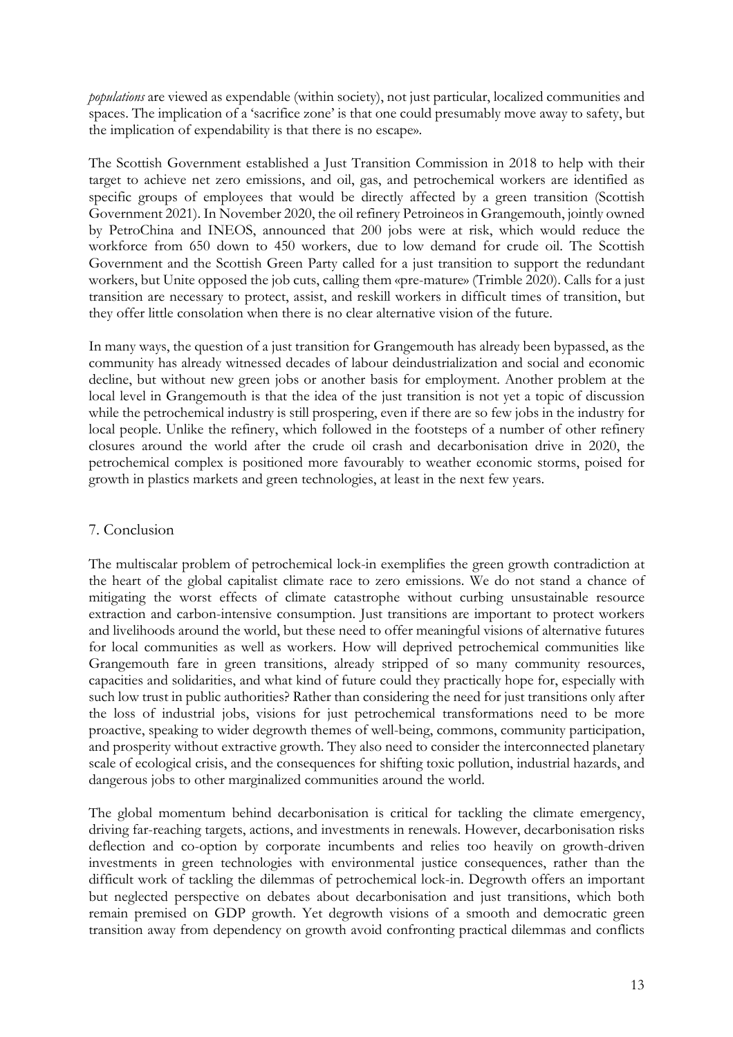*populations* are viewed as expendable (within society), not just particular, localized communities and spaces. The implication of a 'sacrifice zone' is that one could presumably move away to safety, but the implication of expendability is that there is no escape».

The Scottish Government established a Just Transition Commission in 2018 to help with their target to achieve net zero emissions, and oil, gas, and petrochemical workers are identified as specific groups of employees that would be directly affected by a green transition (Scottish Government 2021). In November 2020, the oil refinery Petroineos in Grangemouth, jointly owned by PetroChina and INEOS, announced that 200 jobs were at risk, which would reduce the workforce from 650 down to 450 workers, due to low demand for crude oil. The Scottish Government and the Scottish Green Party called for a just transition to support the redundant workers, but Unite opposed the job cuts, calling them «pre-mature» (Trimble 2020). Calls for a just transition are necessary to protect, assist, and reskill workers in difficult times of transition, but they offer little consolation when there is no clear alternative vision of the future.

In many ways, the question of a just transition for Grangemouth has already been bypassed, as the community has already witnessed decades of labour deindustrialization and social and economic decline, but without new green jobs or another basis for employment. Another problem at the local level in Grangemouth is that the idea of the just transition is not yet a topic of discussion while the petrochemical industry is still prospering, even if there are so few jobs in the industry for local people. Unlike the refinery, which followed in the footsteps of a number of other refinery closures around the world after the crude oil crash and decarbonisation drive in 2020, the petrochemical complex is positioned more favourably to weather economic storms, poised for growth in plastics markets and green technologies, at least in the next few years.

# 7. Conclusion

The multiscalar problem of petrochemical lock-in exemplifies the green growth contradiction at the heart of the global capitalist climate race to zero emissions. We do not stand a chance of mitigating the worst effects of climate catastrophe without curbing unsustainable resource extraction and carbon-intensive consumption. Just transitions are important to protect workers and livelihoods around the world, but these need to offer meaningful visions of alternative futures for local communities as well as workers. How will deprived petrochemical communities like Grangemouth fare in green transitions, already stripped of so many community resources, capacities and solidarities, and what kind of future could they practically hope for, especially with such low trust in public authorities? Rather than considering the need for just transitions only after the loss of industrial jobs, visions for just petrochemical transformations need to be more proactive, speaking to wider degrowth themes of well-being, commons, community participation, and prosperity without extractive growth. They also need to consider the interconnected planetary scale of ecological crisis, and the consequences for shifting toxic pollution, industrial hazards, and dangerous jobs to other marginalized communities around the world.

The global momentum behind decarbonisation is critical for tackling the climate emergency, driving far-reaching targets, actions, and investments in renewals. However, decarbonisation risks deflection and co-option by corporate incumbents and relies too heavily on growth-driven investments in green technologies with environmental justice consequences, rather than the difficult work of tackling the dilemmas of petrochemical lock-in. Degrowth offers an important but neglected perspective on debates about decarbonisation and just transitions, which both remain premised on GDP growth. Yet degrowth visions of a smooth and democratic green transition away from dependency on growth avoid confronting practical dilemmas and conflicts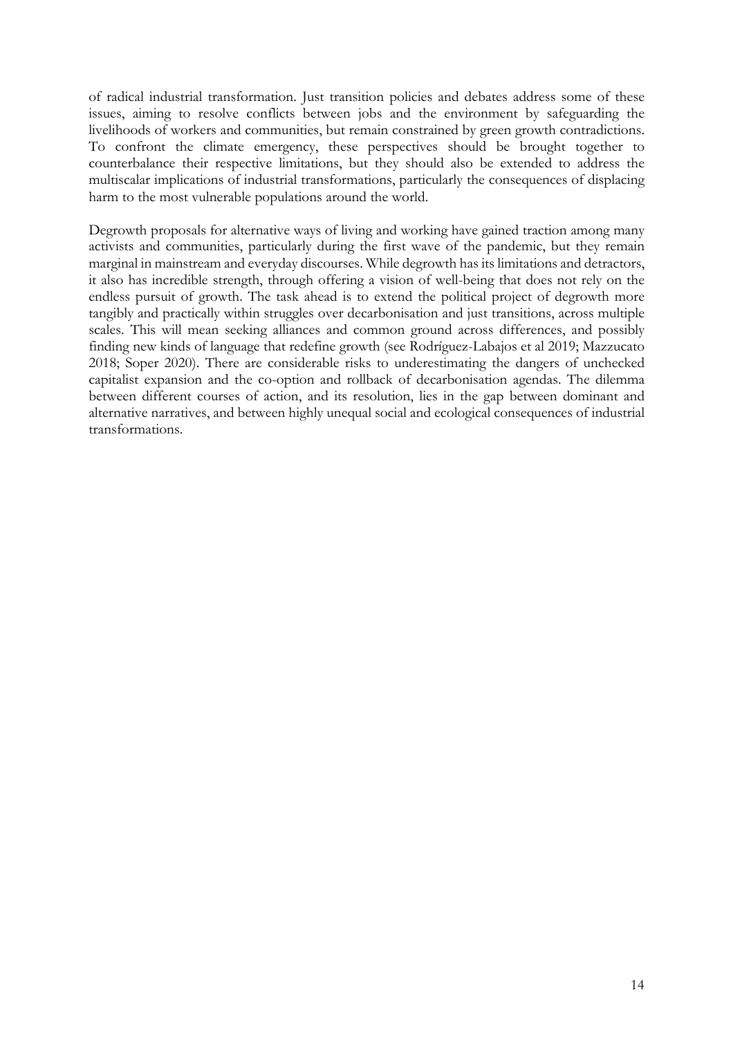of radical industrial transformation. Just transition policies and debates address some of these issues, aiming to resolve conflicts between jobs and the environment by safeguarding the livelihoods of workers and communities, but remain constrained by green growth contradictions. To confront the climate emergency, these perspectives should be brought together to counterbalance their respective limitations, but they should also be extended to address the multiscalar implications of industrial transformations, particularly the consequences of displacing harm to the most vulnerable populations around the world.

Degrowth proposals for alternative ways of living and working have gained traction among many activists and communities, particularly during the first wave of the pandemic, but they remain marginal in mainstream and everyday discourses. While degrowth has its limitations and detractors, it also has incredible strength, through offering a vision of well-being that does not rely on the endless pursuit of growth. The task ahead is to extend the political project of degrowth more tangibly and practically within struggles over decarbonisation and just transitions, across multiple scales. This will mean seeking alliances and common ground across differences, and possibly finding new kinds of language that redefine growth (see Rodríguez-Labajos et al 2019; Mazzucato 2018; Soper 2020). There are considerable risks to underestimating the dangers of unchecked capitalist expansion and the co-option and rollback of decarbonisation agendas. The dilemma between different courses of action, and its resolution, lies in the gap between dominant and alternative narratives, and between highly unequal social and ecological consequences of industrial transformations.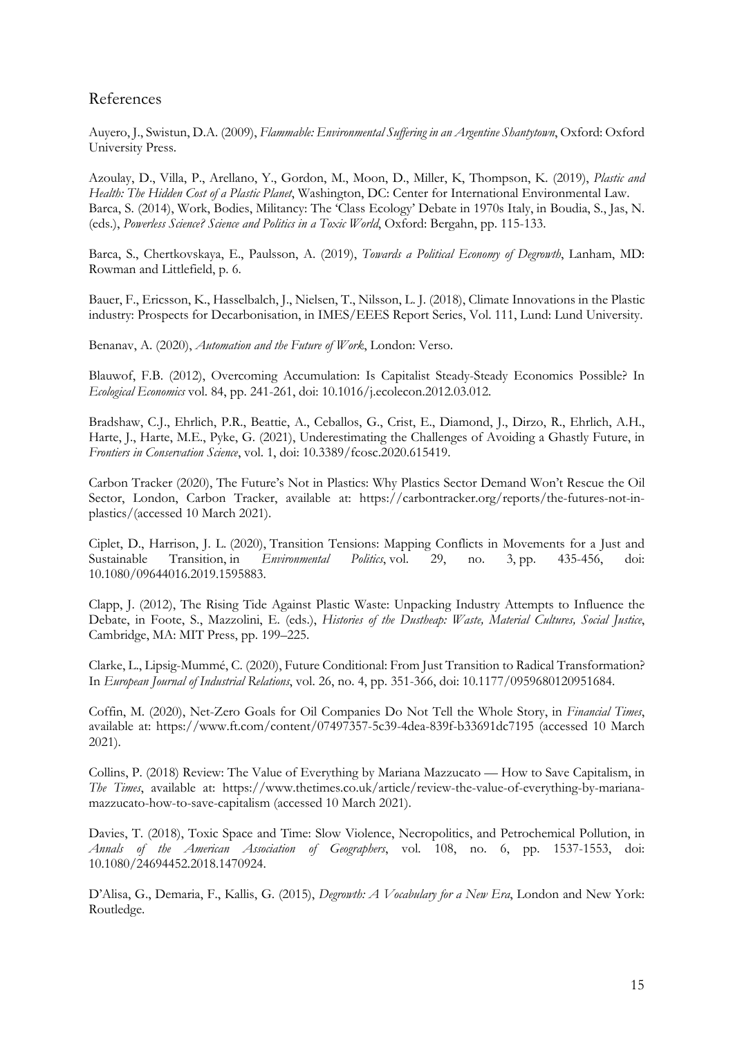# References

Auyero, J., Swistun, D.A. (2009), *Flammable: Environmental Suffering in an Argentine Shantytown*, Oxford: Oxford University Press.

Azoulay, D., Villa, P., Arellano, Y., Gordon, M., Moon, D., Miller, K, Thompson, K. (2019), *Plastic and Health: The Hidden Cost of a Plastic Planet*, Washington, DC: Center for International Environmental Law. Barca, S. (2014), Work, Bodies, Militancy: The 'Class Ecology' Debate in 1970s Italy, in Boudia, S., Jas, N. (eds.), *Powerless Science? Science and Politics in a Toxic World*, Oxford: Bergahn, pp. 115-133.

Barca, S., Chertkovskaya, E., Paulsson, A. (2019), *Towards a Political Economy of Degrowth*, Lanham, MD: Rowman and Littlefield, p. 6.

Bauer, F., Ericsson, K., Hasselbalch, J., Nielsen, T., Nilsson, L. J. (2018), Climate Innovations in the Plastic industry: Prospects for Decarbonisation, in IMES/EEES Report Series, Vol. 111, Lund: Lund University.

Benanav, A. (2020), *Automation and the Future of Work*, London: Verso.

Blauwof, F.B. (2012), Overcoming Accumulation: Is Capitalist Steady-Steady Economics Possible? In *Ecological Economics* vol. 84, pp. 241-261, doi: 10.1016/j.ecolecon.2012.03.012.

Bradshaw, C.J., Ehrlich, P.R., Beattie, A., Ceballos, G., Crist, E., Diamond, J., Dirzo, R., Ehrlich, A.H., Harte, J., Harte, M.E., Pyke, G. (2021), Underestimating the Challenges of Avoiding a Ghastly Future, in *Frontiers in Conservation Science*, vol. 1, doi: 10.3389/fcosc.2020.615419.

Carbon Tracker (2020), The Future's Not in Plastics: Why Plastics Sector Demand Won't Rescue the Oil Sector, London, Carbon Tracker, available at: https://carbontracker.org/reports/the-futures-not-inplastics/(accessed 10 March 2021).

Ciplet, D., Harrison, J. L. (2020), Transition Tensions: Mapping Conflicts in Movements for a Just and Sustainable Transition, in *Environmental Politics*, vol. 29, no. 3, pp. 435-456, doi: 10.1080/09644016.2019.1595883.

Clapp, J. (2012), The Rising Tide Against Plastic Waste: Unpacking Industry Attempts to Influence the Debate, in Foote, S., Mazzolini, E. (eds.), *Histories of the Dustheap: Waste, Material Cultures, Social Justice*, Cambridge, MA: MIT Press, pp. 199–225.

Clarke, L., Lipsig-Mummé, C. (2020), Future Conditional: From Just Transition to Radical Transformation? In *European Journal of Industrial Relations*, vol. 26, no. 4, pp. 351-366, doi: 10.1177/0959680120951684.

Coffin, M. (2020), Net-Zero Goals for Oil Companies Do Not Tell the Whole Story, in *Financial Times*, available at: https://www.ft.com/content/07497357-5c39-4dea-839f-b33691dc7195 (accessed 10 March 2021).

Collins, P. (2018) Review: The Value of Everything by Mariana Mazzucato — How to Save Capitalism, in *The Times*, available at: https://www.thetimes.co.uk/article/review-the-value-of-everything-by-marianamazzucato-how-to-save-capitalism (accessed 10 March 2021).

Davies, T. (2018), Toxic Space and Time: Slow Violence, Necropolitics, and Petrochemical Pollution, in *Annals of the American Association of Geographers*, vol. 108, no. 6, pp. 1537-1553, doi: 10.1080/24694452.2018.1470924.

D'Alisa, G., Demaria, F., Kallis, G. (2015), *Degrowth: A Vocabulary for a New Era*, London and New York: Routledge.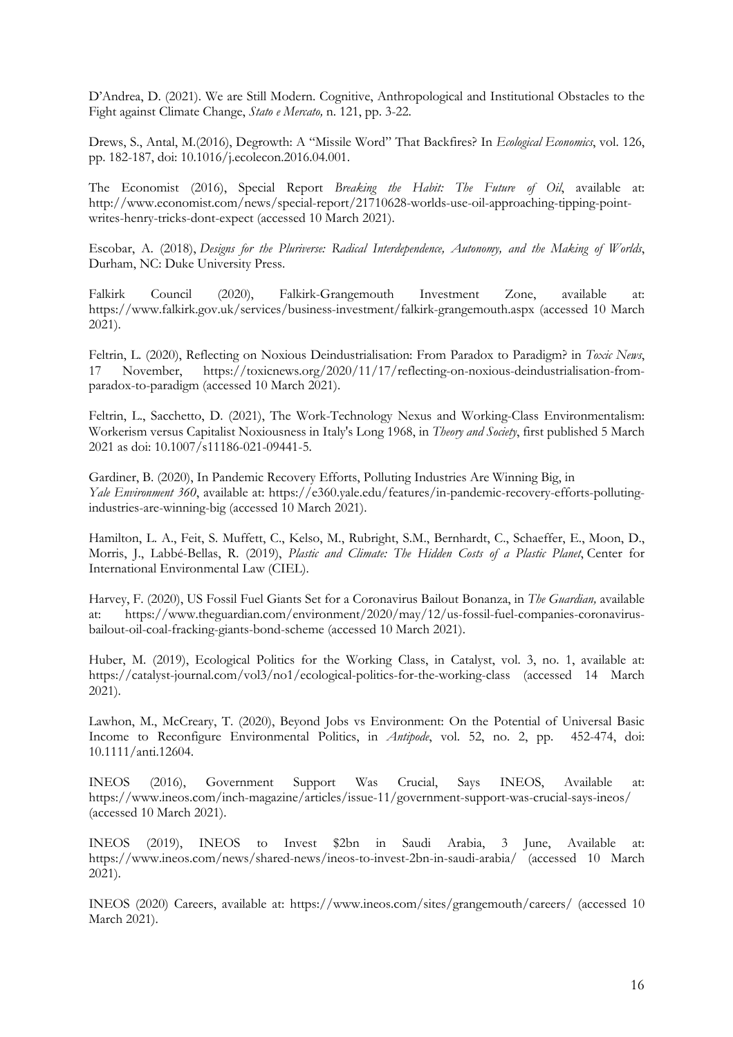D'Andrea, D. (2021). We are Still Modern. Cognitive, Anthropological and Institutional Obstacles to the Fight against Climate Change, *Stato e Mercato,* n. 121, pp. 3-22.

Drews, S., Antal, M.(2016), Degrowth: A "Missile Word" That Backfires? In *Ecological Economics*, vol. 126, pp. 182-187, doi: 10.1016/j.ecolecon.2016.04.001.

The Economist (2016), Special Report *Breaking the Habit: The Future of Oil*, available at: http://www.economist.com/news/special-report/21710628-worlds-use-oil-approaching-tipping-pointwrites-henry-tricks-dont-expect (accessed 10 March 2021).

Escobar, A. (2018), *Designs for the Pluriverse: Radical Interdependence, Autonomy, and the Making of Worlds*, Durham, NC: Duke University Press.

Falkirk Council (2020), Falkirk-Grangemouth Investment Zone, available at: https://www.falkirk.gov.uk/services/business-investment/falkirk-grangemouth.aspx (accessed 10 March 2021).

Feltrin, L. (2020), Reflecting on Noxious Deindustrialisation: From Paradox to Paradigm? in *Toxic News*, 17 November, https://toxicnews.org/2020/11/17/reflecting-on-noxious-deindustrialisation-fromparadox-to-paradigm (accessed 10 March 2021).

Feltrin, L., Sacchetto, D. (2021), The Work-Technology Nexus and Working-Class Environmentalism: Workerism versus Capitalist Noxiousness in Italy's Long 1968, in *Theory and Society*, first published 5 March 2021 as doi: 10.1007/s11186-021-09441-5.

Gardiner, B. (2020), In Pandemic Recovery Efforts, Polluting Industries Are Winning Big, in *Yale Environment 360*, available at: https://e360.yale.edu/features/in-pandemic-recovery-efforts-pollutingindustries-are-winning-big (accessed 10 March 2021).

Hamilton, L. A., Feit, S. Muffett, C., Kelso, M., Rubright, S.M., Bernhardt, C., Schaeffer, E., Moon, D., Morris, J., Labbé-Bellas, R. (2019), *Plastic and Climate: The Hidden Costs of a Plastic Planet*, Center for International Environmental Law (CIEL).

Harvey, F. (2020), US Fossil Fuel Giants Set for a Coronavirus Bailout Bonanza, in *The Guardian,* available at: https://www.theguardian.com/environment/2020/may/12/us-fossil-fuel-companies-coronavirusbailout-oil-coal-fracking-giants-bond-scheme (accessed 10 March 2021).

Huber, M. (2019), Ecological Politics for the Working Class, in Catalyst, vol. 3, no. 1, available at: https://catalyst-journal.com/vol3/no1/ecological-politics-for-the-working-class (accessed 14 March 2021).

Lawhon, M., McCreary, T. (2020), Beyond Jobs vs Environment: On the Potential of Universal Basic Income to Reconfigure Environmental Politics, in *Antipode*, vol. 52, no. 2, pp. 452-474, doi: 10.1111/anti.12604.

INEOS (2016), Government Support Was Crucial, Says INEOS, Available at: https://www.ineos.com/inch-magazine/articles/issue-11/government-support-was-crucial-says-ineos/ (accessed 10 March 2021).

INEOS (2019), INEOS to Invest \$2bn in Saudi Arabia, 3 June, Available at: https://www.ineos.com/news/shared-news/ineos-to-invest-2bn-in-saudi-arabia/ (accessed 10 March 2021).

INEOS (2020) Careers, available at: https://www.ineos.com/sites/grangemouth/careers/ (accessed 10 March 2021).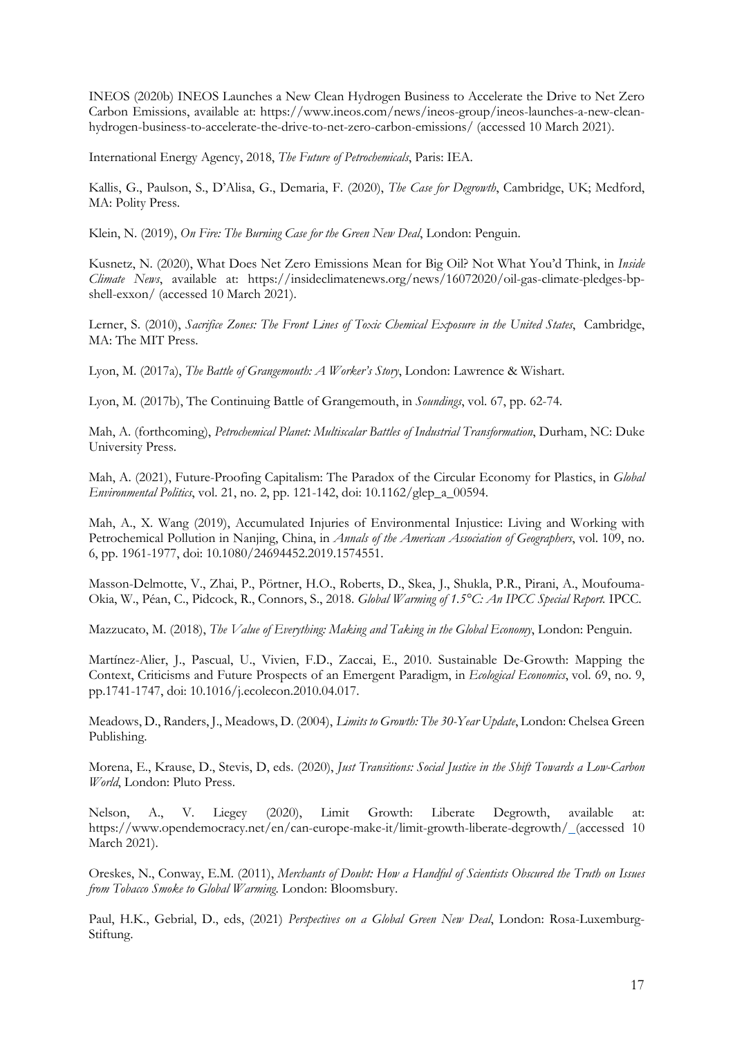INEOS (2020b) INEOS Launches a New Clean Hydrogen Business to Accelerate the Drive to Net Zero Carbon Emissions, available at: https://www.ineos.com/news/ineos-group/ineos-launches-a-new-cleanhydrogen-business-to-accelerate-the-drive-to-net-zero-carbon-emissions/ (accessed 10 March 2021).

International Energy Agency, 2018, *The Future of Petrochemicals*, Paris: IEA.

Kallis, G., Paulson, S., D'Alisa, G., Demaria, F. (2020), *The Case for Degrowth*, Cambridge, UK; Medford, MA: Polity Press.

Klein, N. (2019), *On Fire: The Burning Case for the Green New Deal*, London: Penguin.

Kusnetz, N. (2020), What Does Net Zero Emissions Mean for Big Oil? Not What You'd Think, in *Inside Climate News*, available at: https://insideclimatenews.org/news/16072020/oil-gas-climate-pledges-bpshell-exxon/ (accessed 10 March 2021).

Lerner, S. (2010), *Sacrifice Zones: The Front Lines of Toxic Chemical Exposure in the United States*, Cambridge, MA: The MIT Press.

Lyon, M. (2017a), *The Battle of Grangemouth: A Worker's Story*, London: Lawrence & Wishart.

Lyon, M. (2017b), The Continuing Battle of Grangemouth, in *Soundings*, vol. 67, pp. 62-74.

Mah, A. (forthcoming), *Petrochemical Planet: Multiscalar Battles of Industrial Transformation*, Durham, NC: Duke University Press.

Mah, A. (2021), Future-Proofing Capitalism: The Paradox of the Circular Economy for Plastics, in *Global Environmental Politics*, vol. 21, no. 2, pp. 121-142, doi: 10.1162/glep\_a\_00594.

Mah, A., X. Wang (2019), Accumulated Injuries of Environmental Injustice: Living and Working with Petrochemical Pollution in Nanjing, China, in *Annals of the American Association of Geographers*, vol. 109, no. 6, pp. 1961-1977, doi: 10.1080/24694452.2019.1574551.

Masson-Delmotte, V., Zhai, P., Pörtner, H.O., Roberts, D., Skea, J., Shukla, P.R., Pirani, A., Moufouma-Okia, W., Péan, C., Pidcock, R., Connors, S., 2018. *Global Warming of 1.5°C: An IPCC Special Report.* IPCC.

Mazzucato, M. (2018), *The Value of Everything: Making and Taking in the Global Economy*, London: Penguin.

Martínez-Alier, J., Pascual, U., Vivien, F.D., Zaccai, E., 2010. Sustainable De-Growth: Mapping the Context, Criticisms and Future Prospects of an Emergent Paradigm, in *Ecological Economics*, vol. 69, no. 9, pp.1741-1747, doi: 10.1016/j.ecolecon.2010.04.017.

Meadows, D., Randers, J., Meadows, D. (2004), *Limits to Growth: The 30-Year Update*, London: Chelsea Green Publishing.

Morena, E., Krause, D., Stevis, D, eds. (2020), *Just Transitions: Social Justice in the Shift Towards a Low-Carbon World*, London: Pluto Press.

Nelson, A., V. Liegey (2020), Limit Growth: Liberate Degrowth, available at: https://www.opendemocracy.net/en/can-europe-make-it/limit-growth-liberate-degrowth/ (accessed 10 March 2021).

Oreskes, N., Conway, E.M. (2011), *Merchants of Doubt: How a Handful of Scientists Obscured the Truth on Issues from Tobacco Smoke to Global Warming*. London: Bloomsbury.

Paul, H.K., Gebrial, D., eds, (2021) *Perspectives on a Global Green New Deal*, London: Rosa-Luxemburg-Stiftung.